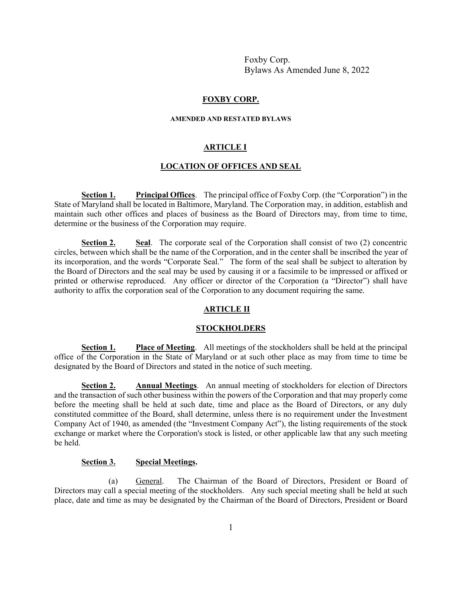# **FOXBY CORP.**

#### **AMENDED AND RESTATED BYLAWS**

#### **ARTICLE I**

# **LOCATION OF OFFICES AND SEAL**

**Section 1. Principal Offices**. The principal office of Foxby Corp. (the "Corporation") in the State of Maryland shall be located in Baltimore, Maryland. The Corporation may, in addition, establish and maintain such other offices and places of business as the Board of Directors may, from time to time, determine or the business of the Corporation may require.

**Section 2. Seal.** The corporate seal of the Corporation shall consist of two (2) concentric circles, between which shall be the name of the Corporation, and in the center shall be inscribed the year of its incorporation, and the words "Corporate Seal." The form of the seal shall be subject to alteration by the Board of Directors and the seal may be used by causing it or a facsimile to be impressed or affixed or printed or otherwise reproduced. Any officer or director of the Corporation (a "Director") shall have authority to affix the corporation seal of the Corporation to any document requiring the same.

#### **ARTICLE II**

#### **STOCKHOLDERS**

**Section 1. Place of Meeting**. All meetings of the stockholders shall be held at the principal office of the Corporation in the State of Maryland or at such other place as may from time to time be designated by the Board of Directors and stated in the notice of such meeting.

**Section 2. Annual Meetings**. An annual meeting of stockholders for election of Directors and the transaction of such other business within the powers of the Corporation and that may properly come before the meeting shall be held at such date, time and place as the Board of Directors, or any duly constituted committee of the Board, shall determine, unless there is no requirement under the Investment Company Act of 1940, as amended (the "Investment Company Act"), the listing requirements of the stock exchange or market where the Corporation's stock is listed, or other applicable law that any such meeting be held.

# **Section 3. Special Meetings.**

(a) General. The Chairman of the Board of Directors, President or Board of Directors may call a special meeting of the stockholders. Any such special meeting shall be held at such place, date and time as may be designated by the Chairman of the Board of Directors, President or Board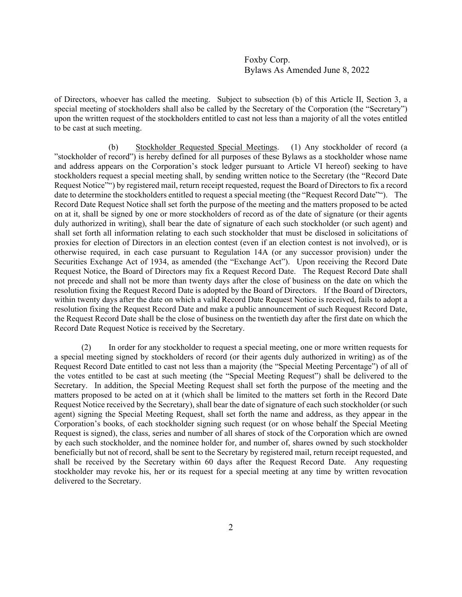of Directors, whoever has called the meeting. Subject to subsection (b) of this Article II, Section 3, a special meeting of stockholders shall also be called by the Secretary of the Corporation (the "Secretary") upon the written request of the stockholders entitled to cast not less than a majority of all the votes entitled to be cast at such meeting.

(b) Stockholder Requested Special Meetings. (1) Any stockholder of record (a "stockholder of record") is hereby defined for all purposes of these Bylaws as a stockholder whose name and address appears on the Corporation's stock ledger pursuant to Article VI hereof) seeking to have stockholders request a special meeting shall, by sending written notice to the Secretary (the "Record Date Request Notice"") by registered mail, return receipt requested, request the Board of Directors to fix a record date to determine the stockholders entitled to request a special meeting (the "Request Record Date""). The Record Date Request Notice shall set forth the purpose of the meeting and the matters proposed to be acted on at it, shall be signed by one or more stockholders of record as of the date of signature (or their agents duly authorized in writing), shall bear the date of signature of each such stockholder (or such agent) and shall set forth all information relating to each such stockholder that must be disclosed in solicitations of proxies for election of Directors in an election contest (even if an election contest is not involved), or is otherwise required, in each case pursuant to Regulation 14A (or any successor provision) under the Securities Exchange Act of 1934, as amended (the "Exchange Act"). Upon receiving the Record Date Request Notice, the Board of Directors may fix a Request Record Date. The Request Record Date shall not precede and shall not be more than twenty days after the close of business on the date on which the resolution fixing the Request Record Date is adopted by the Board of Directors. If the Board of Directors, within twenty days after the date on which a valid Record Date Request Notice is received, fails to adopt a resolution fixing the Request Record Date and make a public announcement of such Request Record Date, the Request Record Date shall be the close of business on the twentieth day after the first date on which the Record Date Request Notice is received by the Secretary.

(2) In order for any stockholder to request a special meeting, one or more written requests for a special meeting signed by stockholders of record (or their agents duly authorized in writing) as of the Request Record Date entitled to cast not less than a majority (the "Special Meeting Percentage") of all of the votes entitled to be cast at such meeting (the "Special Meeting Request") shall be delivered to the Secretary. In addition, the Special Meeting Request shall set forth the purpose of the meeting and the matters proposed to be acted on at it (which shall be limited to the matters set forth in the Record Date Request Notice received by the Secretary), shall bear the date of signature of each such stockholder (or such agent) signing the Special Meeting Request, shall set forth the name and address, as they appear in the Corporation's books, of each stockholder signing such request (or on whose behalf the Special Meeting Request is signed), the class, series and number of all shares of stock of the Corporation which are owned by each such stockholder, and the nominee holder for, and number of, shares owned by such stockholder beneficially but not of record, shall be sent to the Secretary by registered mail, return receipt requested, and shall be received by the Secretary within 60 days after the Request Record Date. Any requesting stockholder may revoke his, her or its request for a special meeting at any time by written revocation delivered to the Secretary.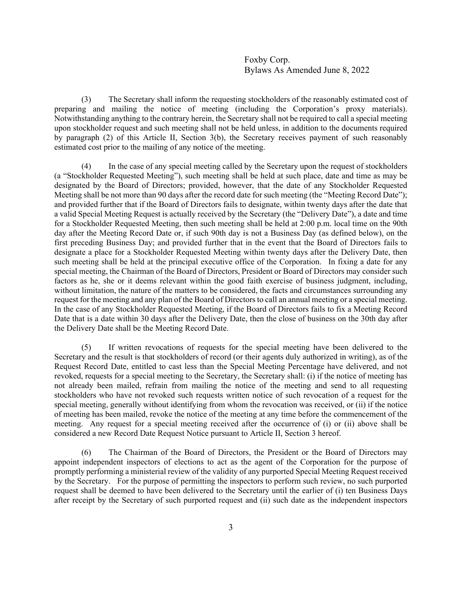(3) The Secretary shall inform the requesting stockholders of the reasonably estimated cost of preparing and mailing the notice of meeting (including the Corporation's proxy materials). Notwithstanding anything to the contrary herein, the Secretary shall not be required to call a special meeting upon stockholder request and such meeting shall not be held unless, in addition to the documents required by paragraph (2) of this Article II, Section 3(b), the Secretary receives payment of such reasonably estimated cost prior to the mailing of any notice of the meeting.

(4) In the case of any special meeting called by the Secretary upon the request of stockholders (a "Stockholder Requested Meeting"), such meeting shall be held at such place, date and time as may be designated by the Board of Directors; provided, however, that the date of any Stockholder Requested Meeting shall be not more than 90 days after the record date for such meeting (the "Meeting Record Date"); and provided further that if the Board of Directors fails to designate, within twenty days after the date that a valid Special Meeting Request is actually received by the Secretary (the "Delivery Date"), a date and time for a Stockholder Requested Meeting, then such meeting shall be held at 2:00 p.m. local time on the 90th day after the Meeting Record Date or, if such 90th day is not a Business Day (as defined below), on the first preceding Business Day; and provided further that in the event that the Board of Directors fails to designate a place for a Stockholder Requested Meeting within twenty days after the Delivery Date, then such meeting shall be held at the principal executive office of the Corporation. In fixing a date for any special meeting, the Chairman of the Board of Directors, President or Board of Directors may consider such factors as he, she or it deems relevant within the good faith exercise of business judgment, including, without limitation, the nature of the matters to be considered, the facts and circumstances surrounding any request for the meeting and any plan of the Board of Directors to call an annual meeting or a special meeting. In the case of any Stockholder Requested Meeting, if the Board of Directors fails to fix a Meeting Record Date that is a date within 30 days after the Delivery Date, then the close of business on the 30th day after the Delivery Date shall be the Meeting Record Date.

(5) If written revocations of requests for the special meeting have been delivered to the Secretary and the result is that stockholders of record (or their agents duly authorized in writing), as of the Request Record Date, entitled to cast less than the Special Meeting Percentage have delivered, and not revoked, requests for a special meeting to the Secretary, the Secretary shall: (i) if the notice of meeting has not already been mailed, refrain from mailing the notice of the meeting and send to all requesting stockholders who have not revoked such requests written notice of such revocation of a request for the special meeting, generally without identifying from whom the revocation was received, or (ii) if the notice of meeting has been mailed, revoke the notice of the meeting at any time before the commencement of the meeting. Any request for a special meeting received after the occurrence of (i) or (ii) above shall be considered a new Record Date Request Notice pursuant to Article II, Section 3 hereof.

(6) The Chairman of the Board of Directors, the President or the Board of Directors may appoint independent inspectors of elections to act as the agent of the Corporation for the purpose of promptly performing a ministerial review of the validity of any purported Special Meeting Request received by the Secretary. For the purpose of permitting the inspectors to perform such review, no such purported request shall be deemed to have been delivered to the Secretary until the earlier of (i) ten Business Days after receipt by the Secretary of such purported request and (ii) such date as the independent inspectors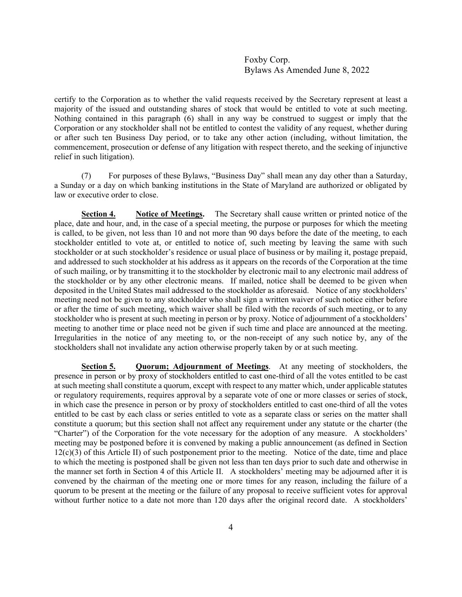certify to the Corporation as to whether the valid requests received by the Secretary represent at least a majority of the issued and outstanding shares of stock that would be entitled to vote at such meeting. Nothing contained in this paragraph (6) shall in any way be construed to suggest or imply that the Corporation or any stockholder shall not be entitled to contest the validity of any request, whether during or after such ten Business Day period, or to take any other action (including, without limitation, the commencement, prosecution or defense of any litigation with respect thereto, and the seeking of injunctive relief in such litigation).

(7) For purposes of these Bylaws, "Business Day" shall mean any day other than a Saturday, a Sunday or a day on which banking institutions in the State of Maryland are authorized or obligated by law or executive order to close.

**Section 4. Notice of Meetings.** The Secretary shall cause written or printed notice of the place, date and hour, and, in the case of a special meeting, the purpose or purposes for which the meeting is called, to be given, not less than 10 and not more than 90 days before the date of the meeting, to each stockholder entitled to vote at, or entitled to notice of, such meeting by leaving the same with such stockholder or at such stockholder's residence or usual place of business or by mailing it, postage prepaid, and addressed to such stockholder at his address as it appears on the records of the Corporation at the time of such mailing, or by transmitting it to the stockholder by electronic mail to any electronic mail address of the stockholder or by any other electronic means. If mailed, notice shall be deemed to be given when deposited in the United States mail addressed to the stockholder as aforesaid. Notice of any stockholders' meeting need not be given to any stockholder who shall sign a written waiver of such notice either before or after the time of such meeting, which waiver shall be filed with the records of such meeting, or to any stockholder who is present at such meeting in person or by proxy. Notice of adjournment of a stockholders' meeting to another time or place need not be given if such time and place are announced at the meeting. Irregularities in the notice of any meeting to, or the non-receipt of any such notice by, any of the stockholders shall not invalidate any action otherwise properly taken by or at such meeting.

**Section 5. Quorum; Adjournment of Meetings**. At any meeting of stockholders, the presence in person or by proxy of stockholders entitled to cast one-third of all the votes entitled to be cast at such meeting shall constitute a quorum, except with respect to any matter which, under applicable statutes or regulatory requirements, requires approval by a separate vote of one or more classes or series of stock, in which case the presence in person or by proxy of stockholders entitled to cast one-third of all the votes entitled to be cast by each class or series entitled to vote as a separate class or series on the matter shall constitute a quorum; but this section shall not affect any requirement under any statute or the charter (the "Charter") of the Corporation for the vote necessary for the adoption of any measure. A stockholders' meeting may be postponed before it is convened by making a public announcement (as defined in Section  $12(c)(3)$  of this Article II) of such postponement prior to the meeting. Notice of the date, time and place to which the meeting is postponed shall be given not less than ten days prior to such date and otherwise in the manner set forth in Section 4 of this Article II. A stockholders' meeting may be adjourned after it is convened by the chairman of the meeting one or more times for any reason, including the failure of a quorum to be present at the meeting or the failure of any proposal to receive sufficient votes for approval without further notice to a date not more than 120 days after the original record date. A stockholders'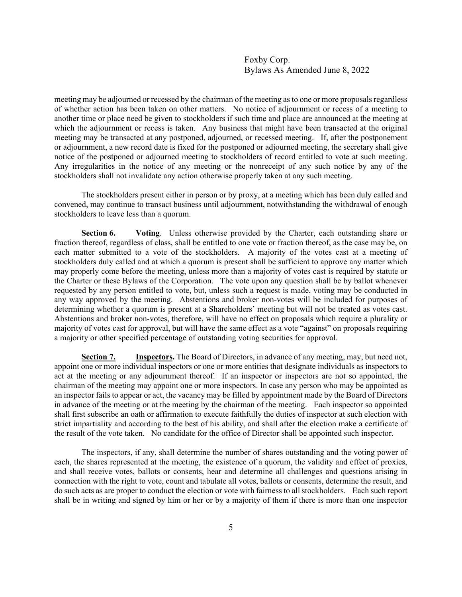meeting may be adjourned or recessed by the chairman of the meeting as to one or more proposals regardless of whether action has been taken on other matters. No notice of adjournment or recess of a meeting to another time or place need be given to stockholders if such time and place are announced at the meeting at which the adjournment or recess is taken. Any business that might have been transacted at the original meeting may be transacted at any postponed, adjourned, or recessed meeting. If, after the postponement or adjournment, a new record date is fixed for the postponed or adjourned meeting, the secretary shall give notice of the postponed or adjourned meeting to stockholders of record entitled to vote at such meeting. Any irregularities in the notice of any meeting or the nonreceipt of any such notice by any of the stockholders shall not invalidate any action otherwise properly taken at any such meeting.

The stockholders present either in person or by proxy, at a meeting which has been duly called and convened, may continue to transact business until adjournment, notwithstanding the withdrawal of enough stockholders to leave less than a quorum.

**Section 6. Voting**. Unless otherwise provided by the Charter, each outstanding share or fraction thereof, regardless of class, shall be entitled to one vote or fraction thereof, as the case may be, on each matter submitted to a vote of the stockholders. A majority of the votes cast at a meeting of stockholders duly called and at which a quorum is present shall be sufficient to approve any matter which may properly come before the meeting, unless more than a majority of votes cast is required by statute or the Charter or these Bylaws of the Corporation. The vote upon any question shall be by ballot whenever requested by any person entitled to vote, but, unless such a request is made, voting may be conducted in any way approved by the meeting. Abstentions and broker non-votes will be included for purposes of determining whether a quorum is present at a Shareholders' meeting but will not be treated as votes cast. Abstentions and broker non-votes, therefore, will have no effect on proposals which require a plurality or majority of votes cast for approval, but will have the same effect as a vote "against" on proposals requiring a majority or other specified percentage of outstanding voting securities for approval.

**Section 7. Inspectors.** The Board of Directors, in advance of any meeting, may, but need not, appoint one or more individual inspectors or one or more entities that designate individuals as inspectors to act at the meeting or any adjournment thereof. If an inspector or inspectors are not so appointed, the chairman of the meeting may appoint one or more inspectors. In case any person who may be appointed as an inspector fails to appear or act, the vacancy may be filled by appointment made by the Board of Directors in advance of the meeting or at the meeting by the chairman of the meeting. Each inspector so appointed shall first subscribe an oath or affirmation to execute faithfully the duties of inspector at such election with strict impartiality and according to the best of his ability, and shall after the election make a certificate of the result of the vote taken. No candidate for the office of Director shall be appointed such inspector.

The inspectors, if any, shall determine the number of shares outstanding and the voting power of each, the shares represented at the meeting, the existence of a quorum, the validity and effect of proxies, and shall receive votes, ballots or consents, hear and determine all challenges and questions arising in connection with the right to vote, count and tabulate all votes, ballots or consents, determine the result, and do such acts as are proper to conduct the election or vote with fairness to all stockholders. Each such report shall be in writing and signed by him or her or by a majority of them if there is more than one inspector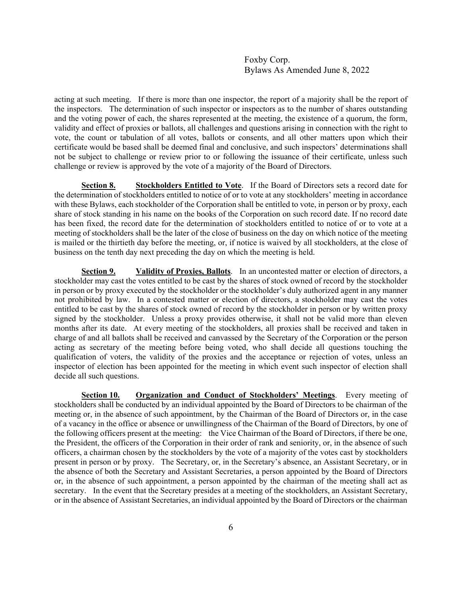acting at such meeting. If there is more than one inspector, the report of a majority shall be the report of the inspectors. The determination of such inspector or inspectors as to the number of shares outstanding and the voting power of each, the shares represented at the meeting, the existence of a quorum, the form, validity and effect of proxies or ballots, all challenges and questions arising in connection with the right to vote, the count or tabulation of all votes, ballots or consents, and all other matters upon which their certificate would be based shall be deemed final and conclusive, and such inspectors' determinations shall not be subject to challenge or review prior to or following the issuance of their certificate, unless such challenge or review is approved by the vote of a majority of the Board of Directors.

**Section 8. Stockholders Entitled to Vote**. If the Board of Directors sets a record date for the determination of stockholders entitled to notice of or to vote at any stockholders' meeting in accordance with these Bylaws, each stockholder of the Corporation shall be entitled to vote, in person or by proxy, each share of stock standing in his name on the books of the Corporation on such record date. If no record date has been fixed, the record date for the determination of stockholders entitled to notice of or to vote at a meeting of stockholders shall be the later of the close of business on the day on which notice of the meeting is mailed or the thirtieth day before the meeting, or, if notice is waived by all stockholders, at the close of business on the tenth day next preceding the day on which the meeting is held.

**Section 9. Validity of Proxies, Ballots**. In an uncontested matter or election of directors, a stockholder may cast the votes entitled to be cast by the shares of stock owned of record by the stockholder in person or by proxy executed by the stockholder or the stockholder's duly authorized agent in any manner not prohibited by law. In a contested matter or election of directors, a stockholder may cast the votes entitled to be cast by the shares of stock owned of record by the stockholder in person or by written proxy signed by the stockholder.Unless a proxy provides otherwise, it shall not be valid more than eleven months after its date. At every meeting of the stockholders, all proxies shall be received and taken in charge of and all ballots shall be received and canvassed by the Secretary of the Corporation or the person acting as secretary of the meeting before being voted, who shall decide all questions touching the qualification of voters, the validity of the proxies and the acceptance or rejection of votes, unless an inspector of election has been appointed for the meeting in which event such inspector of election shall decide all such questions.

**Section 10. Organization and Conduct of Stockholders' Meetings**. Every meeting of stockholders shall be conducted by an individual appointed by the Board of Directors to be chairman of the meeting or, in the absence of such appointment, by the Chairman of the Board of Directors or, in the case of a vacancy in the office or absence or unwillingness of the Chairman of the Board of Directors, by one of the following officers present at the meeting: the Vice Chairman of the Board of Directors, if there be one, the President, the officers of the Corporation in their order of rank and seniority, or, in the absence of such officers, a chairman chosen by the stockholders by the vote of a majority of the votes cast by stockholders present in person or by proxy. The Secretary, or, in the Secretary's absence, an Assistant Secretary, or in the absence of both the Secretary and Assistant Secretaries, a person appointed by the Board of Directors or, in the absence of such appointment, a person appointed by the chairman of the meeting shall act as secretary. In the event that the Secretary presides at a meeting of the stockholders, an Assistant Secretary, or in the absence of Assistant Secretaries, an individual appointed by the Board of Directors or the chairman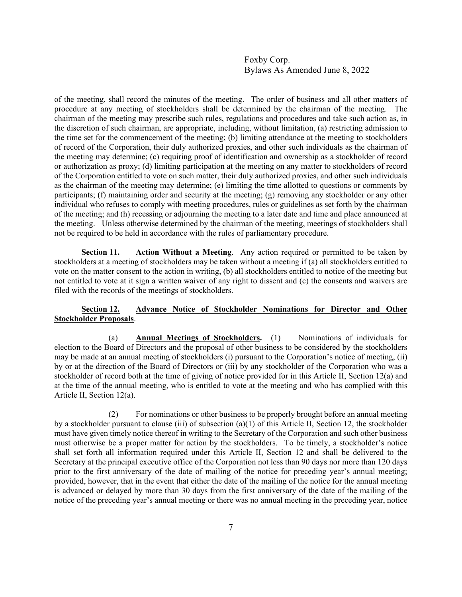of the meeting, shall record the minutes of the meeting. The order of business and all other matters of procedure at any meeting of stockholders shall be determined by the chairman of the meeting. The chairman of the meeting may prescribe such rules, regulations and procedures and take such action as, in the discretion of such chairman, are appropriate, including, without limitation, (a) restricting admission to the time set for the commencement of the meeting; (b) limiting attendance at the meeting to stockholders of record of the Corporation, their duly authorized proxies, and other such individuals as the chairman of the meeting may determine; (c) requiring proof of identification and ownership as a stockholder of record or authorization as proxy; (d) limiting participation at the meeting on any matter to stockholders of record of the Corporation entitled to vote on such matter, their duly authorized proxies, and other such individuals as the chairman of the meeting may determine; (e) limiting the time allotted to questions or comments by participants; (f) maintaining order and security at the meeting; (g) removing any stockholder or any other individual who refuses to comply with meeting procedures, rules or guidelines as set forth by the chairman of the meeting; and (h) recessing or adjourning the meeting to a later date and time and place announced at the meeting. Unless otherwise determined by the chairman of the meeting, meetings of stockholders shall not be required to be held in accordance with the rules of parliamentary procedure.

**Section 11. Action Without a Meeting**. Any action required or permitted to be taken by stockholders at a meeting of stockholders may be taken without a meeting if (a) all stockholders entitled to vote on the matter consent to the action in writing, (b) all stockholders entitled to notice of the meeting but not entitled to vote at it sign a written waiver of any right to dissent and (c) the consents and waivers are filed with the records of the meetings of stockholders.

# **Section 12. Advance Notice of Stockholder Nominations for Director and Other Stockholder Proposals**.

(a) **Annual Meetings of Stockholders.** (1) Nominations of individuals for election to the Board of Directors and the proposal of other business to be considered by the stockholders may be made at an annual meeting of stockholders (i) pursuant to the Corporation's notice of meeting, (ii) by or at the direction of the Board of Directors or (iii) by any stockholder of the Corporation who was a stockholder of record both at the time of giving of notice provided for in this Article II, Section 12(a) and at the time of the annual meeting, who is entitled to vote at the meeting and who has complied with this Article II, Section 12(a).

(2) For nominations or other business to be properly brought before an annual meeting by a stockholder pursuant to clause (iii) of subsection (a)(1) of this Article II, Section 12, the stockholder must have given timely notice thereof in writing to the Secretary of the Corporation and such other business must otherwise be a proper matter for action by the stockholders. To be timely, a stockholder's notice shall set forth all information required under this Article II, Section 12 and shall be delivered to the Secretary at the principal executive office of the Corporation not less than 90 days nor more than 120 days prior to the first anniversary of the date of mailing of the notice for preceding year's annual meeting; provided, however, that in the event that either the date of the mailing of the notice for the annual meeting is advanced or delayed by more than 30 days from the first anniversary of the date of the mailing of the notice of the preceding year's annual meeting or there was no annual meeting in the preceding year, notice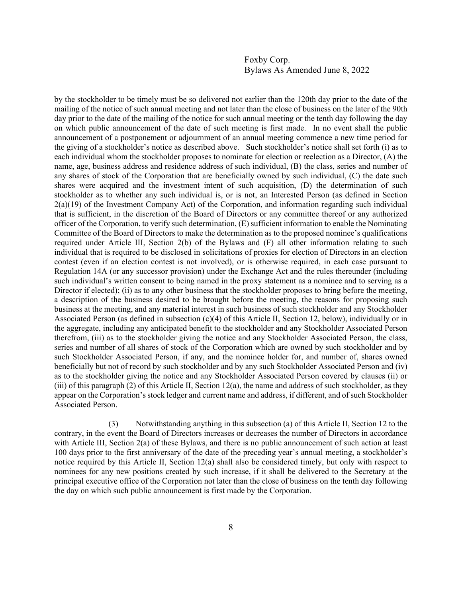by the stockholder to be timely must be so delivered not earlier than the 120th day prior to the date of the mailing of the notice of such annual meeting and not later than the close of business on the later of the 90th day prior to the date of the mailing of the notice for such annual meeting or the tenth day following the day on which public announcement of the date of such meeting is first made. In no event shall the public announcement of a postponement or adjournment of an annual meeting commence a new time period for the giving of a stockholder's notice as described above. Such stockholder's notice shall set forth (i) as to each individual whom the stockholder proposes to nominate for election or reelection as a Director, (A) the name, age, business address and residence address of such individual, (B) the class, series and number of any shares of stock of the Corporation that are beneficially owned by such individual, (C) the date such shares were acquired and the investment intent of such acquisition, (D) the determination of such stockholder as to whether any such individual is, or is not, an Interested Person (as defined in Section 2(a)(19) of the Investment Company Act) of the Corporation, and information regarding such individual that is sufficient, in the discretion of the Board of Directors or any committee thereof or any authorized officer of the Corporation, to verify such determination, (E) sufficient information to enable the Nominating Committee of the Board of Directors to make the determination as to the proposed nominee's qualifications required under Article III, Section 2(b) of the Bylaws and (F) all other information relating to such individual that is required to be disclosed in solicitations of proxies for election of Directors in an election contest (even if an election contest is not involved), or is otherwise required, in each case pursuant to Regulation 14A (or any successor provision) under the Exchange Act and the rules thereunder (including such individual's written consent to being named in the proxy statement as a nominee and to serving as a Director if elected); (ii) as to any other business that the stockholder proposes to bring before the meeting, a description of the business desired to be brought before the meeting, the reasons for proposing such business at the meeting, and any material interest in such business of such stockholder and any Stockholder Associated Person (as defined in subsection (c)(4) of this Article II, Section 12, below), individually or in the aggregate, including any anticipated benefit to the stockholder and any Stockholder Associated Person therefrom, (iii) as to the stockholder giving the notice and any Stockholder Associated Person, the class, series and number of all shares of stock of the Corporation which are owned by such stockholder and by such Stockholder Associated Person, if any, and the nominee holder for, and number of, shares owned beneficially but not of record by such stockholder and by any such Stockholder Associated Person and (iv) as to the stockholder giving the notice and any Stockholder Associated Person covered by clauses (ii) or (iii) of this paragraph (2) of this Article II, Section 12(a), the name and address of such stockholder, as they appear on the Corporation's stock ledger and current name and address, if different, and of such Stockholder Associated Person.

(3) Notwithstanding anything in this subsection (a) of this Article II, Section 12 to the contrary, in the event the Board of Directors increases or decreases the number of Directors in accordance with Article III, Section 2(a) of these Bylaws, and there is no public announcement of such action at least 100 days prior to the first anniversary of the date of the preceding year's annual meeting, a stockholder's notice required by this Article II, Section 12(a) shall also be considered timely, but only with respect to nominees for any new positions created by such increase, if it shall be delivered to the Secretary at the principal executive office of the Corporation not later than the close of business on the tenth day following the day on which such public announcement is first made by the Corporation.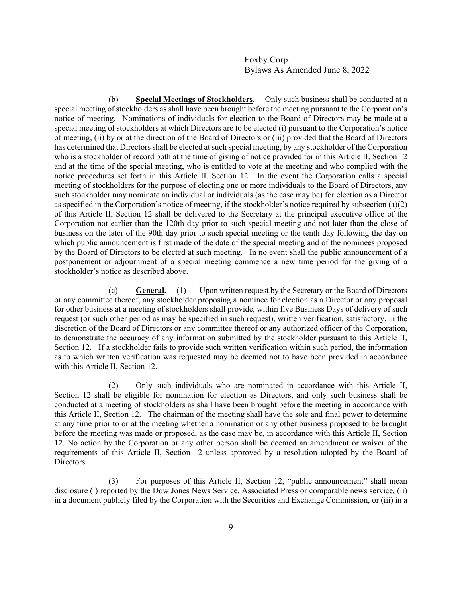(b) **Special Meetings of Stockholders.** Only such business shall be conducted at a special meeting of stockholders as shall have been brought before the meeting pursuant to the Corporation's notice of meeting. Nominations of individuals for election to the Board of Directors may be made at a special meeting of stockholders at which Directors are to be elected (i) pursuant to the Corporation's notice of meeting, (ii) by or at the direction of the Board of Directors or (iii) provided that the Board of Directors has determined that Directors shall be elected at such special meeting, by any stockholder of the Corporation who is a stockholder of record both at the time of giving of notice provided for in this Article II, Section 12 and at the time of the special meeting, who is entitled to vote at the meeting and who complied with the notice procedures set forth in this Article II, Section 12. In the event the Corporation calls a special meeting of stockholders for the purpose of electing one or more individuals to the Board of Directors, any such stockholder may nominate an individual or individuals (as the case may be) for election as a Director as specified in the Corporation's notice of meeting, if the stockholder's notice required by subsection (a)(2) of this Article II, Section 12 shall be delivered to the Secretary at the principal executive office of the Corporation not earlier than the 120th day prior to such special meeting and not later than the close of business on the later of the 90th day prior to such special meeting or the tenth day following the day on which public announcement is first made of the date of the special meeting and of the nominees proposed by the Board of Directors to be elected at such meeting. In no event shall the public announcement of a postponement or adjournment of a special meeting commence a new time period for the giving of a stockholder's notice as described above.

(c) **General.** (1) Upon written request by the Secretary or the Board of Directors or any committee thereof, any stockholder proposing a nominee for election as a Director or any proposal for other business at a meeting of stockholders shall provide, within five Business Days of delivery of such request (or such other period as may be specified in such request), written verification, satisfactory, in the discretion of the Board of Directors or any committee thereof or any authorized officer of the Corporation, to demonstrate the accuracy of any information submitted by the stockholder pursuant to this Article II, Section 12. If a stockholder fails to provide such written verification within such period, the information as to which written verification was requested may be deemed not to have been provided in accordance with this Article II, Section 12.

(2) Only such individuals who are nominated in accordance with this Article II, Section 12 shall be eligible for nomination for election as Directors, and only such business shall be conducted at a meeting of stockholders as shall have been brought before the meeting in accordance with this Article II, Section 12. The chairman of the meeting shall have the sole and final power to determine at any time prior to or at the meeting whether a nomination or any other business proposed to be brought before the meeting was made or proposed, as the case may be, in accordance with this Article II, Section 12. No action by the Corporation or any other person shall be deemed an amendment or waiver of the requirements of this Article II, Section 12 unless approved by a resolution adopted by the Board of Directors.

(3) For purposes of this Article II, Section 12, "public announcement" shall mean disclosure (i) reported by the Dow Jones News Service, Associated Press or comparable news service, (ii) in a document publicly filed by the Corporation with the Securities and Exchange Commission, or (iii) in a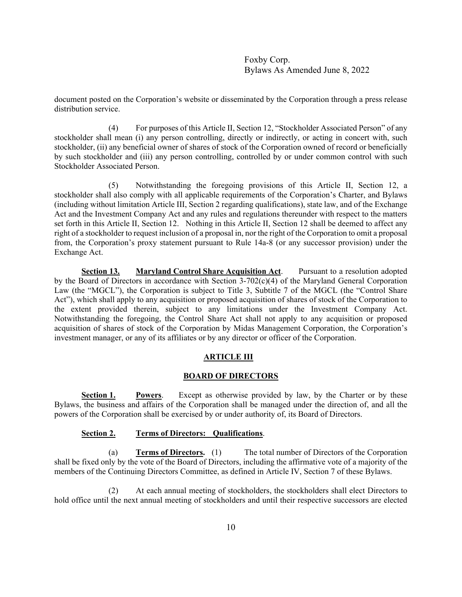document posted on the Corporation's website or disseminated by the Corporation through a press release distribution service.

(4) For purposes of this Article II, Section 12, "Stockholder Associated Person" of any stockholder shall mean (i) any person controlling, directly or indirectly, or acting in concert with, such stockholder, (ii) any beneficial owner of shares of stock of the Corporation owned of record or beneficially by such stockholder and (iii) any person controlling, controlled by or under common control with such Stockholder Associated Person.

(5) Notwithstanding the foregoing provisions of this Article II, Section 12, a stockholder shall also comply with all applicable requirements of the Corporation's Charter, and Bylaws (including without limitation Article III, Section 2 regarding qualifications), state law, and of the Exchange Act and the Investment Company Act and any rules and regulations thereunder with respect to the matters set forth in this Article II, Section 12. Nothing in this Article II, Section 12 shall be deemed to affect any right of a stockholder to request inclusion of a proposal in, nor the right of the Corporation to omit a proposal from, the Corporation's proxy statement pursuant to Rule 14a-8 (or any successor provision) under the Exchange Act.

**Section 13. Maryland Control Share Acquisition Act**. Pursuant to a resolution adopted by the Board of Directors in accordance with Section 3-702(c)(4) of the Maryland General Corporation Law (the "MGCL"), the Corporation is subject to Title 3, Subtitle 7 of the MGCL (the "Control Share Act"), which shall apply to any acquisition or proposed acquisition of shares of stock of the Corporation to the extent provided therein, subject to any limitations under the Investment Company Act. Notwithstanding the foregoing, the Control Share Act shall not apply to any acquisition or proposed acquisition of shares of stock of the Corporation by Midas Management Corporation, the Corporation's investment manager, or any of its affiliates or by any director or officer of the Corporation.

# **ARTICLE III**

#### **BOARD OF DIRECTORS**

**Section 1. Powers**. Except as otherwise provided by law, by the Charter or by these Bylaws, the business and affairs of the Corporation shall be managed under the direction of, and all the powers of the Corporation shall be exercised by or under authority of, its Board of Directors.

## **Section 2. Terms of Directors: Qualifications**.

(a) **Terms of Directors.** (1) The total number of Directors of the Corporation shall be fixed only by the vote of the Board of Directors, including the affirmative vote of a majority of the members of the Continuing Directors Committee, as defined in Article IV, Section 7 of these Bylaws.

(2) At each annual meeting of stockholders, the stockholders shall elect Directors to hold office until the next annual meeting of stockholders and until their respective successors are elected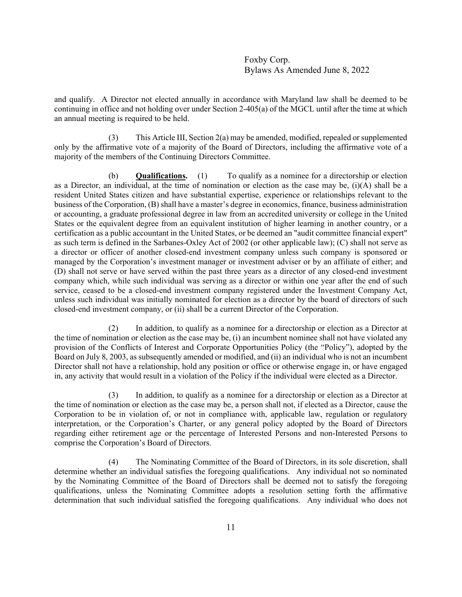and qualify. A Director not elected annually in accordance with Maryland law shall be deemed to be continuing in office and not holding over under Section 2-405(a) of the MGCL until after the time at which an annual meeting is required to be held.

 (3) This Article III, Section 2(a) may be amended, modified, repealed or supplemented only by the affirmative vote of a majority of the Board of Directors, including the affirmative vote of a majority of the members of the Continuing Directors Committee.

(b) **Qualifications.** (1) To qualify as a nominee for a directorship or election as a Director, an individual, at the time of nomination or election as the case may be, (i)(A) shall be a resident United States citizen and have substantial expertise, experience or relationships relevant to the business of the Corporation, (B) shall have a master's degree in economics, finance, business administration or accounting, a graduate professional degree in law from an accredited university or college in the United States or the equivalent degree from an equivalent institution of higher learning in another country, or a certification as a public accountant in the United States, or be deemed an "audit committee financial expert" as such term is defined in the Sarbanes-Oxley Act of 2002 (or other applicable law); (C) shall not serve as a director or officer of another closed-end investment company unless such company is sponsored or managed by the Corporation's investment manager or investment adviser or by an affiliate of either; and (D) shall not serve or have served within the past three years as a director of any closed-end investment company which, while such individual was serving as a director or within one year after the end of such service, ceased to be a closed-end investment company registered under the Investment Company Act, unless such individual was initially nominated for election as a director by the board of directors of such closed-end investment company, or (ii) shall be a current Director of the Corporation.

(2) In addition, to qualify as a nominee for a directorship or election as a Director at the time of nomination or election as the case may be, (i) an incumbent nominee shall not have violated any provision of the Conflicts of Interest and Corporate Opportunities Policy (the "Policy"), adopted by the Board on July 8, 2003, as subsequently amended or modified, and (ii) an individual who is not an incumbent Director shall not have a relationship, hold any position or office or otherwise engage in, or have engaged in, any activity that would result in a violation of the Policy if the individual were elected as a Director.

(3) In addition, to qualify as a nominee for a directorship or election as a Director at the time of nomination or election as the case may be, a person shall not, if elected as a Director, cause the Corporation to be in violation of, or not in compliance with, applicable law, regulation or regulatory interpretation, or the Corporation's Charter, or any general policy adopted by the Board of Directors regarding either retirement age or the percentage of Interested Persons and non-Interested Persons to comprise the Corporation's Board of Directors.

(4) The Nominating Committee of the Board of Directors, in its sole discretion, shall determine whether an individual satisfies the foregoing qualifications. Any individual not so nominated by the Nominating Committee of the Board of Directors shall be deemed not to satisfy the foregoing qualifications, unless the Nominating Committee adopts a resolution setting forth the affirmative determination that such individual satisfied the foregoing qualifications. Any individual who does not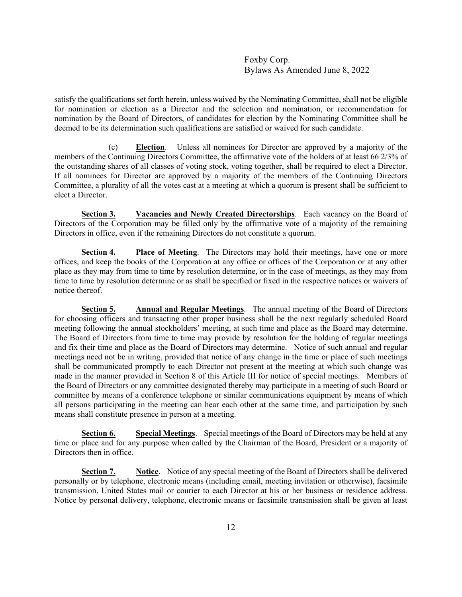satisfy the qualifications set forth herein, unless waived by the Nominating Committee, shall not be eligible for nomination or election as a Director and the selection and nomination, or recommendation for nomination by the Board of Directors, of candidates for election by the Nominating Committee shall be deemed to be its determination such qualifications are satisfied or waived for such candidate.

(c) **Election**. Unless all nominees for Director are approved by a majority of the members of the Continuing Directors Committee, the affirmative vote of the holders of at least 66 2/3% of the outstanding shares of all classes of voting stock, voting together, shall be required to elect a Director. If all nominees for Director are approved by a majority of the members of the Continuing Directors Committee, a plurality of all the votes cast at a meeting at which a quorum is present shall be sufficient to elect a Director.

**Section 3. Vacancies and Newly Created Directorships**. Each vacancy on the Board of Directors of the Corporation may be filled only by the affirmative vote of a majority of the remaining Directors in office, even if the remaining Directors do not constitute a quorum.

**Section 4. Place of Meeting**. The Directors may hold their meetings, have one or more offices, and keep the books of the Corporation at any office or offices of the Corporation or at any other place as they may from time to time by resolution determine, or in the case of meetings, as they may from time to time by resolution determine or as shall be specified or fixed in the respective notices or waivers of notice thereof.

**Section 5. Annual and Regular Meetings**. The annual meeting of the Board of Directors for choosing officers and transacting other proper business shall be the next regularly scheduled Board meeting following the annual stockholders' meeting, at such time and place as the Board may determine. The Board of Directors from time to time may provide by resolution for the holding of regular meetings and fix their time and place as the Board of Directors may determine. Notice of such annual and regular meetings need not be in writing, provided that notice of any change in the time or place of such meetings shall be communicated promptly to each Director not present at the meeting at which such change was made in the manner provided in Section 8 of this Article III for notice of special meetings. Members of the Board of Directors or any committee designated thereby may participate in a meeting of such Board or committee by means of a conference telephone or similar communications equipment by means of which all persons participating in the meeting can hear each other at the same time, and participation by such means shall constitute presence in person at a meeting.

**Section 6. Special Meetings**. Special meetings of the Board of Directors may be held at any time or place and for any purpose when called by the Chairman of the Board, President or a majority of Directors then in office.

**Section 7. Notice**. Notice of any special meeting of the Board of Directors shall be delivered personally or by telephone, electronic means (including email, meeting invitation or otherwise), facsimile transmission, United States mail or courier to each Director at his or her business or residence address. Notice by personal delivery, telephone, electronic means or facsimile transmission shall be given at least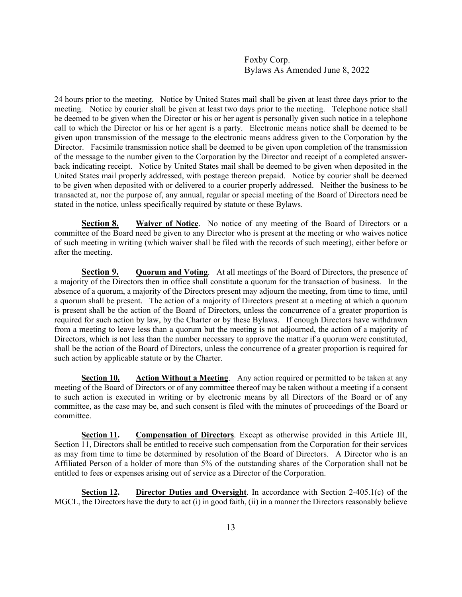24 hours prior to the meeting. Notice by United States mail shall be given at least three days prior to the meeting. Notice by courier shall be given at least two days prior to the meeting. Telephone notice shall be deemed to be given when the Director or his or her agent is personally given such notice in a telephone call to which the Director or his or her agent is a party. Electronic means notice shall be deemed to be given upon transmission of the message to the electronic means address given to the Corporation by the Director. Facsimile transmission notice shall be deemed to be given upon completion of the transmission of the message to the number given to the Corporation by the Director and receipt of a completed answerback indicating receipt. Notice by United States mail shall be deemed to be given when deposited in the United States mail properly addressed, with postage thereon prepaid. Notice by courier shall be deemed to be given when deposited with or delivered to a courier properly addressed. Neither the business to be transacted at, nor the purpose of, any annual, regular or special meeting of the Board of Directors need be stated in the notice, unless specifically required by statute or these Bylaws.

**<u>Section 8.</u> Waiver of Notice**. No notice of any meeting of the Board of Directors or a committee of the Board need be given to any Director who is present at the meeting or who waives notice of such meeting in writing (which waiver shall be filed with the records of such meeting), either before or after the meeting.

**Section 9. Quorum and Voting.** At all meetings of the Board of Directors, the presence of a majority of the Directors then in office shall constitute a quorum for the transaction of business. In the absence of a quorum, a majority of the Directors present may adjourn the meeting, from time to time, until a quorum shall be present. The action of a majority of Directors present at a meeting at which a quorum is present shall be the action of the Board of Directors, unless the concurrence of a greater proportion is required for such action by law, by the Charter or by these Bylaws. If enough Directors have withdrawn from a meeting to leave less than a quorum but the meeting is not adjourned, the action of a majority of Directors, which is not less than the number necessary to approve the matter if a quorum were constituted, shall be the action of the Board of Directors, unless the concurrence of a greater proportion is required for such action by applicable statute or by the Charter.

**Section 10.** Action Without a Meeting. Any action required or permitted to be taken at any meeting of the Board of Directors or of any committee thereof may be taken without a meeting if a consent to such action is executed in writing or by electronic means by all Directors of the Board or of any committee, as the case may be, and such consent is filed with the minutes of proceedings of the Board or committee.

**Section 11. Compensation of Directors**. Except as otherwise provided in this Article III, Section 11, Directors shall be entitled to receive such compensation from the Corporation for their services as may from time to time be determined by resolution of the Board of Directors. A Director who is an Affiliated Person of a holder of more than 5% of the outstanding shares of the Corporation shall not be entitled to fees or expenses arising out of service as a Director of the Corporation.

**Section 12. Director Duties and Oversight**. In accordance with Section 2-405.1(c) of the MGCL, the Directors have the duty to act (i) in good faith, (ii) in a manner the Directors reasonably believe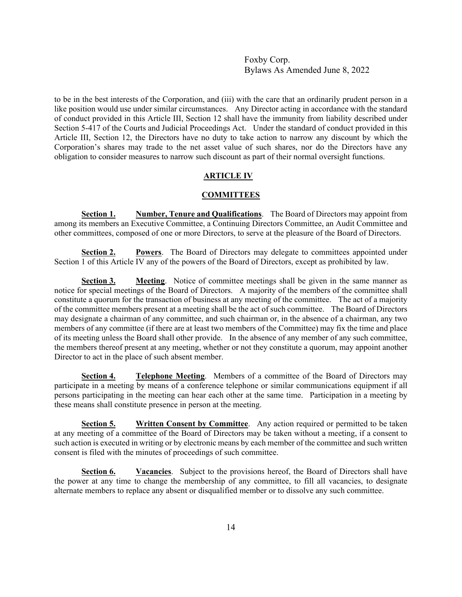to be in the best interests of the Corporation, and (iii) with the care that an ordinarily prudent person in a like position would use under similar circumstances. Any Director acting in accordance with the standard of conduct provided in this Article III, Section 12 shall have the immunity from liability described under Section 5-417 of the Courts and Judicial Proceedings Act. Under the standard of conduct provided in this Article III, Section 12, the Directors have no duty to take action to narrow any discount by which the Corporation's shares may trade to the net asset value of such shares, nor do the Directors have any obligation to consider measures to narrow such discount as part of their normal oversight functions.

# **ARTICLE IV**

#### **COMMITTEES**

**Section 1. Number, Tenure and Qualifications**. The Board of Directors may appoint from among its members an Executive Committee, a Continuing Directors Committee, an Audit Committee and other committees, composed of one or more Directors, to serve at the pleasure of the Board of Directors.

**Section 2. Powers**. The Board of Directors may delegate to committees appointed under Section 1 of this Article IV any of the powers of the Board of Directors, except as prohibited by law.

**Section 3. Meeting.** Notice of committee meetings shall be given in the same manner as notice for special meetings of the Board of Directors. A majority of the members of the committee shall constitute a quorum for the transaction of business at any meeting of the committee. The act of a majority of the committee members present at a meeting shall be the act of such committee. The Board of Directors may designate a chairman of any committee, and such chairman or, in the absence of a chairman, any two members of any committee (if there are at least two members of the Committee) may fix the time and place of its meeting unless the Board shall other provide. In the absence of any member of any such committee, the members thereof present at any meeting, whether or not they constitute a quorum, may appoint another Director to act in the place of such absent member.

**Section 4. Telephone Meeting.** Members of a committee of the Board of Directors may participate in a meeting by means of a conference telephone or similar communications equipment if all persons participating in the meeting can hear each other at the same time. Participation in a meeting by these means shall constitute presence in person at the meeting.

**Section 5. Written Consent by Committee**. Any action required or permitted to be taken at any meeting of a committee of the Board of Directors may be taken without a meeting, if a consent to such action is executed in writing or by electronic means by each member of the committee and such written consent is filed with the minutes of proceedings of such committee.

**Section 6. Vacancies**. Subject to the provisions hereof, the Board of Directors shall have the power at any time to change the membership of any committee, to fill all vacancies, to designate alternate members to replace any absent or disqualified member or to dissolve any such committee.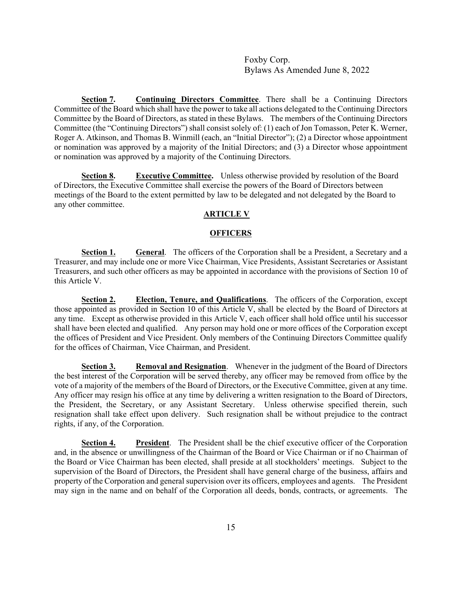**Section 7.** Continuing Directors Committee. There shall be a Continuing Directors Committee of the Board which shall have the power to take all actions delegated to the Continuing Directors Committee by the Board of Directors, as stated in these Bylaws. The members of the Continuing Directors Committee (the "Continuing Directors") shall consist solely of: (1) each of Jon Tomasson, Peter K. Werner, Roger A. Atkinson, and Thomas B. Winmill (each, an "Initial Director"); (2) a Director whose appointment or nomination was approved by a majority of the Initial Directors; and (3) a Director whose appointment or nomination was approved by a majority of the Continuing Directors.

**Section 8. Executive Committee.** Unless otherwise provided by resolution of the Board of Directors, the Executive Committee shall exercise the powers of the Board of Directors between meetings of the Board to the extent permitted by law to be delegated and not delegated by the Board to any other committee.

## **ARTICLE V**

#### **OFFICERS**

**Section 1. General**. The officers of the Corporation shall be a President, a Secretary and a Treasurer, and may include one or more Vice Chairman, Vice Presidents, Assistant Secretaries or Assistant Treasurers, and such other officers as may be appointed in accordance with the provisions of Section 10 of this Article V.

**Section 2. Election, Tenure, and Qualifications**. The officers of the Corporation, except those appointed as provided in Section 10 of this Article V, shall be elected by the Board of Directors at any time. Except as otherwise provided in this Article V, each officer shall hold office until his successor shall have been elected and qualified. Any person may hold one or more offices of the Corporation except the offices of President and Vice President. Only members of the Continuing Directors Committee qualify for the offices of Chairman, Vice Chairman, and President.

**Section 3. Removal and Resignation**. Whenever in the judgment of the Board of Directors the best interest of the Corporation will be served thereby, any officer may be removed from office by the vote of a majority of the members of the Board of Directors, or the Executive Committee, given at any time. Any officer may resign his office at any time by delivering a written resignation to the Board of Directors, the President, the Secretary, or any Assistant Secretary. Unless otherwise specified therein, such resignation shall take effect upon delivery. Such resignation shall be without prejudice to the contract rights, if any, of the Corporation.

**Section 4. President**. The President shall be the chief executive officer of the Corporation and, in the absence or unwillingness of the Chairman of the Board or Vice Chairman or if no Chairman of the Board or Vice Chairman has been elected, shall preside at all stockholders' meetings. Subject to the supervision of the Board of Directors, the President shall have general charge of the business, affairs and property of the Corporation and general supervision over its officers, employees and agents. The President may sign in the name and on behalf of the Corporation all deeds, bonds, contracts, or agreements. The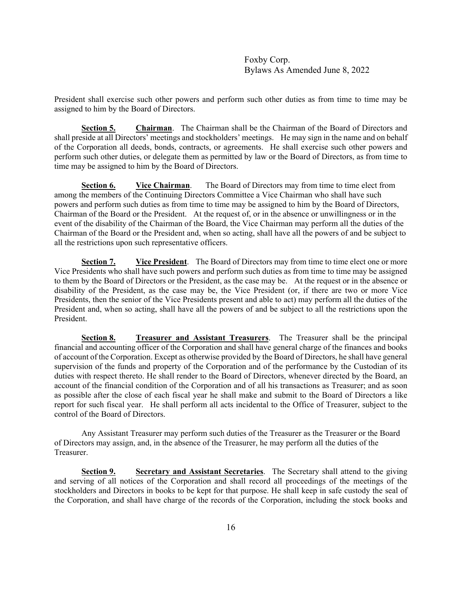President shall exercise such other powers and perform such other duties as from time to time may be assigned to him by the Board of Directors.

**Section 5. Chairman**. The Chairman shall be the Chairman of the Board of Directors and shall preside at all Directors' meetings and stockholders' meetings. He may sign in the name and on behalf of the Corporation all deeds, bonds, contracts, or agreements. He shall exercise such other powers and perform such other duties, or delegate them as permitted by law or the Board of Directors, as from time to time may be assigned to him by the Board of Directors.

**Section 6.** Vice Chairman. The Board of Directors may from time to time elect from among the members of the Continuing Directors Committee a Vice Chairman who shall have such powers and perform such duties as from time to time may be assigned to him by the Board of Directors, Chairman of the Board or the President. At the request of, or in the absence or unwillingness or in the event of the disability of the Chairman of the Board, the Vice Chairman may perform all the duties of the Chairman of the Board or the President and, when so acting, shall have all the powers of and be subject to all the restrictions upon such representative officers.

**Section 7. Vice President**. The Board of Directors may from time to time elect one or more Vice Presidents who shall have such powers and perform such duties as from time to time may be assigned to them by the Board of Directors or the President, as the case may be. At the request or in the absence or disability of the President, as the case may be, the Vice President (or, if there are two or more Vice Presidents, then the senior of the Vice Presidents present and able to act) may perform all the duties of the President and, when so acting, shall have all the powers of and be subject to all the restrictions upon the President.

**Section 8. Treasurer and Assistant Treasurers**. The Treasurer shall be the principal financial and accounting officer of the Corporation and shall have general charge of the finances and books of account of the Corporation. Except as otherwise provided by the Board of Directors, he shall have general supervision of the funds and property of the Corporation and of the performance by the Custodian of its duties with respect thereto. He shall render to the Board of Directors, whenever directed by the Board, an account of the financial condition of the Corporation and of all his transactions as Treasurer; and as soon as possible after the close of each fiscal year he shall make and submit to the Board of Directors a like report for such fiscal year. He shall perform all acts incidental to the Office of Treasurer, subject to the control of the Board of Directors.

Any Assistant Treasurer may perform such duties of the Treasurer as the Treasurer or the Board of Directors may assign, and, in the absence of the Treasurer, he may perform all the duties of the Treasurer.

**Section 9. Secretary and Assistant Secretaries**. The Secretary shall attend to the giving and serving of all notices of the Corporation and shall record all proceedings of the meetings of the stockholders and Directors in books to be kept for that purpose. He shall keep in safe custody the seal of the Corporation, and shall have charge of the records of the Corporation, including the stock books and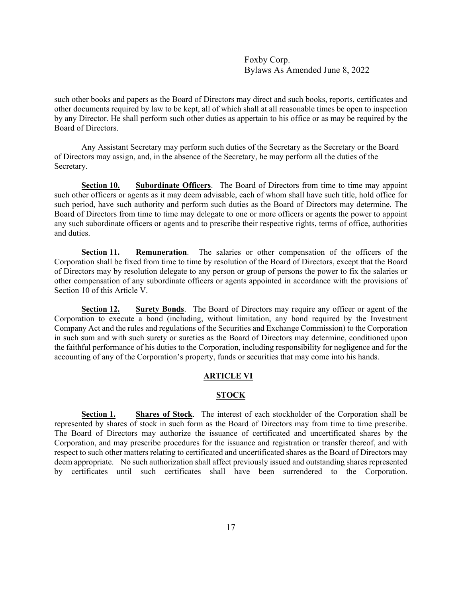such other books and papers as the Board of Directors may direct and such books, reports, certificates and other documents required by law to be kept, all of which shall at all reasonable times be open to inspection by any Director. He shall perform such other duties as appertain to his office or as may be required by the Board of Directors.

Any Assistant Secretary may perform such duties of the Secretary as the Secretary or the Board of Directors may assign, and, in the absence of the Secretary, he may perform all the duties of the Secretary.

**Section 10. Subordinate Officers**. The Board of Directors from time to time may appoint such other officers or agents as it may deem advisable, each of whom shall have such title, hold office for such period, have such authority and perform such duties as the Board of Directors may determine. The Board of Directors from time to time may delegate to one or more officers or agents the power to appoint any such subordinate officers or agents and to prescribe their respective rights, terms of office, authorities and duties.

**Section 11. Remuneration**. The salaries or other compensation of the officers of the Corporation shall be fixed from time to time by resolution of the Board of Directors, except that the Board of Directors may by resolution delegate to any person or group of persons the power to fix the salaries or other compensation of any subordinate officers or agents appointed in accordance with the provisions of Section 10 of this Article V.

**Section 12. Surety Bonds**. The Board of Directors may require any officer or agent of the Corporation to execute a bond (including, without limitation, any bond required by the Investment Company Act and the rules and regulations of the Securities and Exchange Commission) to the Corporation in such sum and with such surety or sureties as the Board of Directors may determine, conditioned upon the faithful performance of his duties to the Corporation, including responsibility for negligence and for the accounting of any of the Corporation's property, funds or securities that may come into his hands.

# **ARTICLE VI**

## **STOCK**

**Section 1. Shares of Stock**. The interest of each stockholder of the Corporation shall be represented by shares of stock in such form as the Board of Directors may from time to time prescribe. The Board of Directors may authorize the issuance of certificated and uncertificated shares by the Corporation, and may prescribe procedures for the issuance and registration or transfer thereof, and with respect to such other matters relating to certificated and uncertificated shares as the Board of Directors may deem appropriate. No such authorization shall affect previously issued and outstanding shares represented by certificates until such certificates shall have been surrendered to the Corporation.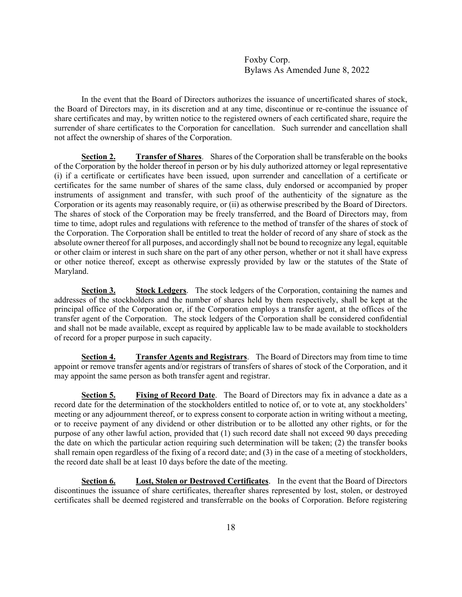In the event that the Board of Directors authorizes the issuance of uncertificated shares of stock, the Board of Directors may, in its discretion and at any time, discontinue or re-continue the issuance of share certificates and may, by written notice to the registered owners of each certificated share, require the surrender of share certificates to the Corporation for cancellation. Such surrender and cancellation shall not affect the ownership of shares of the Corporation.

**Section 2. Transfer of Shares**. Shares of the Corporation shall be transferable on the books of the Corporation by the holder thereof in person or by his duly authorized attorney or legal representative (i) if a certificate or certificates have been issued, upon surrender and cancellation of a certificate or certificates for the same number of shares of the same class, duly endorsed or accompanied by proper instruments of assignment and transfer, with such proof of the authenticity of the signature as the Corporation or its agents may reasonably require, or (ii) as otherwise prescribed by the Board of Directors. The shares of stock of the Corporation may be freely transferred, and the Board of Directors may, from time to time, adopt rules and regulations with reference to the method of transfer of the shares of stock of the Corporation. The Corporation shall be entitled to treat the holder of record of any share of stock as the absolute owner thereof for all purposes, and accordingly shall not be bound to recognize any legal, equitable or other claim or interest in such share on the part of any other person, whether or not it shall have express or other notice thereof, except as otherwise expressly provided by law or the statutes of the State of Maryland.

**Section 3. Stock Ledgers**. The stock ledgers of the Corporation, containing the names and addresses of the stockholders and the number of shares held by them respectively, shall be kept at the principal office of the Corporation or, if the Corporation employs a transfer agent, at the offices of the transfer agent of the Corporation. The stock ledgers of the Corporation shall be considered confidential and shall not be made available, except as required by applicable law to be made available to stockholders of record for a proper purpose in such capacity.

**Section 4. Transfer Agents and Registrars**. The Board of Directors may from time to time appoint or remove transfer agents and/or registrars of transfers of shares of stock of the Corporation, and it may appoint the same person as both transfer agent and registrar.

**Section 5. Fixing of Record Date**. The Board of Directors may fix in advance a date as a record date for the determination of the stockholders entitled to notice of, or to vote at, any stockholders' meeting or any adjournment thereof, or to express consent to corporate action in writing without a meeting, or to receive payment of any dividend or other distribution or to be allotted any other rights, or for the purpose of any other lawful action, provided that (1) such record date shall not exceed 90 days preceding the date on which the particular action requiring such determination will be taken; (2) the transfer books shall remain open regardless of the fixing of a record date; and (3) in the case of a meeting of stockholders, the record date shall be at least 10 days before the date of the meeting.

**Section 6. Lost, Stolen or Destroyed Certificates**. In the event that the Board of Directors discontinues the issuance of share certificates, thereafter shares represented by lost, stolen, or destroyed certificates shall be deemed registered and transferrable on the books of Corporation. Before registering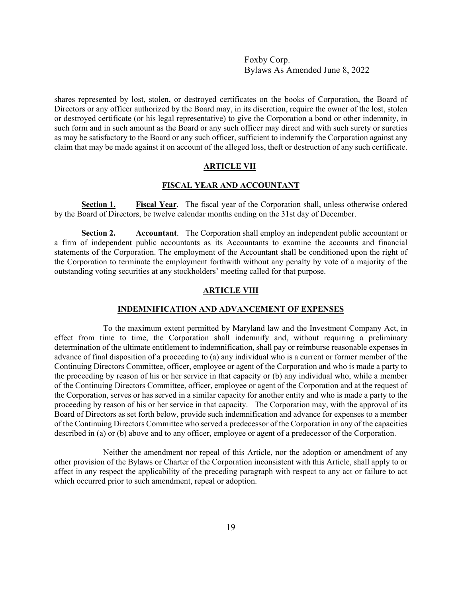shares represented by lost, stolen, or destroyed certificates on the books of Corporation, the Board of Directors or any officer authorized by the Board may, in its discretion, require the owner of the lost, stolen or destroyed certificate (or his legal representative) to give the Corporation a bond or other indemnity, in such form and in such amount as the Board or any such officer may direct and with such surety or sureties as may be satisfactory to the Board or any such officer, sufficient to indemnify the Corporation against any claim that may be made against it on account of the alleged loss, theft or destruction of any such certificate.

# **ARTICLE VII**

#### **FISCAL YEAR AND ACCOUNTANT**

**Section 1. Fiscal Year**. The fiscal year of the Corporation shall, unless otherwise ordered by the Board of Directors, be twelve calendar months ending on the 31st day of December.

**Section 2. Accountant**. The Corporation shall employ an independent public accountant or a firm of independent public accountants as its Accountants to examine the accounts and financial statements of the Corporation. The employment of the Accountant shall be conditioned upon the right of the Corporation to terminate the employment forthwith without any penalty by vote of a majority of the outstanding voting securities at any stockholders' meeting called for that purpose.

# **ARTICLE VIII**

#### **INDEMNIFICATION AND ADVANCEMENT OF EXPENSES**

To the maximum extent permitted by Maryland law and the Investment Company Act, in effect from time to time, the Corporation shall indemnify and, without requiring a preliminary determination of the ultimate entitlement to indemnification, shall pay or reimburse reasonable expenses in advance of final disposition of a proceeding to (a) any individual who is a current or former member of the Continuing Directors Committee, officer, employee or agent of the Corporation and who is made a party to the proceeding by reason of his or her service in that capacity or (b) any individual who, while a member of the Continuing Directors Committee, officer, employee or agent of the Corporation and at the request of the Corporation, serves or has served in a similar capacity for another entity and who is made a party to the proceeding by reason of his or her service in that capacity. The Corporation may, with the approval of its Board of Directors as set forth below, provide such indemnification and advance for expenses to a member of the Continuing Directors Committee who served a predecessor of the Corporation in any of the capacities described in (a) or (b) above and to any officer, employee or agent of a predecessor of the Corporation.

Neither the amendment nor repeal of this Article, nor the adoption or amendment of any other provision of the Bylaws or Charter of the Corporation inconsistent with this Article, shall apply to or affect in any respect the applicability of the preceding paragraph with respect to any act or failure to act which occurred prior to such amendment, repeal or adoption.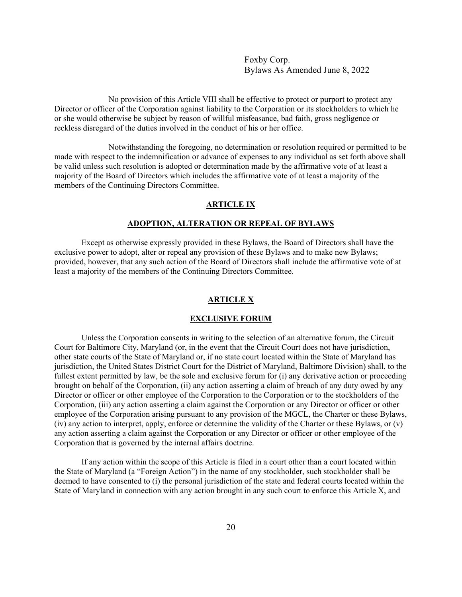No provision of this Article VIII shall be effective to protect or purport to protect any Director or officer of the Corporation against liability to the Corporation or its stockholders to which he or she would otherwise be subject by reason of willful misfeasance, bad faith, gross negligence or reckless disregard of the duties involved in the conduct of his or her office.

Notwithstanding the foregoing, no determination or resolution required or permitted to be made with respect to the indemnification or advance of expenses to any individual as set forth above shall be valid unless such resolution is adopted or determination made by the affirmative vote of at least a majority of the Board of Directors which includes the affirmative vote of at least a majority of the members of the Continuing Directors Committee.

# **ARTICLE IX**

# **ADOPTION, ALTERATION OR REPEAL OF BYLAWS**

Except as otherwise expressly provided in these Bylaws, the Board of Directors shall have the exclusive power to adopt, alter or repeal any provision of these Bylaws and to make new Bylaws; provided, however, that any such action of the Board of Directors shall include the affirmative vote of at least a majority of the members of the Continuing Directors Committee.

#### **ARTICLE X**

#### **EXCLUSIVE FORUM**

 Unless the Corporation consents in writing to the selection of an alternative forum, the Circuit Court for Baltimore City, Maryland (or, in the event that the Circuit Court does not have jurisdiction, other state courts of the State of Maryland or, if no state court located within the State of Maryland has jurisdiction, the United States District Court for the District of Maryland, Baltimore Division) shall, to the fullest extent permitted by law, be the sole and exclusive forum for (i) any derivative action or proceeding brought on behalf of the Corporation, (ii) any action asserting a claim of breach of any duty owed by any Director or officer or other employee of the Corporation to the Corporation or to the stockholders of the Corporation, (iii) any action asserting a claim against the Corporation or any Director or officer or other employee of the Corporation arising pursuant to any provision of the MGCL, the Charter or these Bylaws, (iv) any action to interpret, apply, enforce or determine the validity of the Charter or these Bylaws, or (v) any action asserting a claim against the Corporation or any Director or officer or other employee of the Corporation that is governed by the internal affairs doctrine.

 If any action within the scope of this Article is filed in a court other than a court located within the State of Maryland (a "Foreign Action") in the name of any stockholder, such stockholder shall be deemed to have consented to (i) the personal jurisdiction of the state and federal courts located within the State of Maryland in connection with any action brought in any such court to enforce this Article X, and